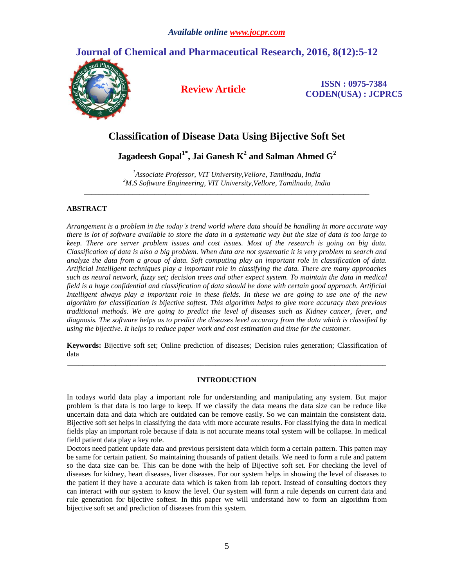# **Journal of Chemical and Pharmaceutical Research, 2016, 8(12):5-12**



**Review Article ISSN : 0975-7384 CODEN(USA) : JCPRC5**

# **Classification of Disease Data Using Bijective Soft Set**

**Jagadeesh Gopal1\* , Jai Ganesh K<sup>2</sup> and Salman Ahmed G<sup>2</sup>**

*<sup>1</sup>Associate Professor, VIT University,Vellore, Tamilnadu, India <sup>2</sup>M.S Software Engineering, VIT University,Vellore, Tamilnadu, India \_\_\_\_\_\_\_\_\_\_\_\_\_\_\_\_\_\_\_\_\_\_\_\_\_\_\_\_\_\_\_\_\_\_\_\_\_\_\_\_\_\_\_\_\_\_\_\_\_\_\_\_\_\_\_\_\_\_\_\_\_\_\_\_\_\_\_\_\_\_\_\_\_\_\_\_\_*

# **ABSTRACT**

*Arrangement is a problem in the today's trend world where data should be handling in more accurate way there is lot of software available to store the data in a systematic way but the size of data is too large to keep. There are server problem issues and cost issues. Most of the research is going on big data. Classification of data is also a big problem. When data are not systematic it is very problem to search and analyze the data from a group of data. Soft computing play an important role in classification of data. Artificial Intelligent techniques play a important role in classifying the data. There are many approaches such as neural network, fuzzy set; decision trees and other expect system. To maintain the data in medical field is a huge confidential and classification of data should be done with certain good approach. Artificial Intelligent always play a important role in these fields. In these we are going to use one of the new algorithm for classification is bijective softest. This algorithm helps to give more accuracy then previous traditional methods. We are going to predict the level of diseases such as Kidney cancer, fever, and diagnosis. The software helps as to predict the diseases level accuracy from the data which is classified by using the bijective. It helps to reduce paper work and cost estimation and time for the customer.*

**Keywords:** Bijective soft set; Online prediction of diseases; Decision rules generation; Classification of data *\_\_\_\_\_\_\_\_\_\_\_\_\_\_\_\_\_\_\_\_\_\_\_\_\_\_\_\_\_\_\_\_\_\_\_\_\_\_\_\_\_\_\_\_\_\_\_\_\_\_\_\_\_\_\_\_\_\_\_\_\_\_\_\_\_\_\_\_\_\_\_\_\_\_\_\_\_\_\_\_\_\_\_\_\_\_*

# **INTRODUCTION**

In todays world data play a important role for understanding and manipulating any system. But major problem is that data is too large to keep. If we classify the data means the data size can be reduce like uncertain data and data which are outdated can be remove easily. So we can maintain the consistent data. Bijective soft set helps in classifying the data with more accurate results. For classifying the data in medical fields play an important role because if data is not accurate means total system will be collapse. In medical field patient data play a key role.

Doctors need patient update data and previous persistent data which form a certain pattern. This patten may be same for certain patient. So maintaining thousands of patient details. We need to form a rule and pattern so the data size can be. This can be done with the help of Bijective soft set. For checking the level of diseases for kidney, heart diseases, liver diseases. For our system helps in showing the level of diseases to the patient if they have a accurate data which is taken from lab report. Instead of consulting doctors they can interact with our system to know the level. Our system will form a rule depends on current data and rule generation for bijective softest. In this paper we will understand how to form an algorithm from bijective soft set and prediction of diseases from this system.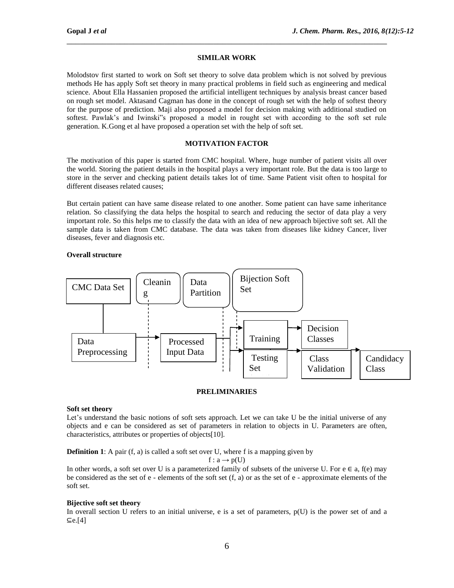# **SIMILAR WORK**

\_\_\_\_\_\_\_\_\_\_\_\_\_\_\_\_\_\_\_\_\_\_\_\_\_\_\_\_\_\_\_\_\_\_\_\_\_\_\_\_\_\_\_\_\_\_\_\_\_\_\_\_\_\_\_\_\_\_\_\_\_\_\_\_\_\_\_\_\_\_\_\_

Molodstov first started to work on Soft set theory to solve data problem which is not solved by previous methods He has apply Soft set theory in many practical problems in field such as engineering and medical science. About Ella Hassanien proposed the artificial intelligent techniques by analysis breast cancer based on rough set model. Aktasand Cagman has done in the concept of rough set with the help of softest theory for the purpose of prediction. Maji also proposed a model for decision making with additional studied on softest. Pawlak's and Iwinski"s proposed a model in rought set with according to the soft set rule generation. K.Gong et al have proposed a operation set with the help of soft set.

## **MOTIVATION FACTOR**

The motivation of this paper is started from CMC hospital. Where, huge number of patient visits all over the world. Storing the patient details in the hospital plays a very important role. But the data is too large to store in the server and checking patient details takes lot of time. Same Patient visit often to hospital for different diseases related causes;

But certain patient can have same disease related to one another. Some patient can have same inheritance relation. So classifying the data helps the hospital to search and reducing the sector of data play a very important role. So this helps me to classify the data with an idea of new approach bijective soft set. All the sample data is taken from CMC database. The data was taken from diseases like kidney Cancer, liver diseases, fever and diagnosis etc.

### **Overall structure**



## **PRELIMINARIES**

#### **Soft set theory**

Let's understand the basic notions of soft sets approach. Let we can take U be the initial universe of any objects and e can be considered as set of parameters in relation to objects in U. Parameters are often, characteristics, attributes or properties of objects[10].

**Definition 1**: A pair (f, a) is called a soft set over U, where f is a mapping given by

 $f: a \rightarrow p(U)$ 

In other words, a soft set over U is a parameterized family of subsets of the universe U. For  $e \in a$ ,  $f(e)$  may be considered as the set of e - elements of the soft set (f, a) or as the set of e - approximate elements of the soft set.

## **Bijective soft set theory**

In overall section U refers to an initial universe, e is a set of parameters,  $p(U)$  is the power set of and a ⊆e.[4]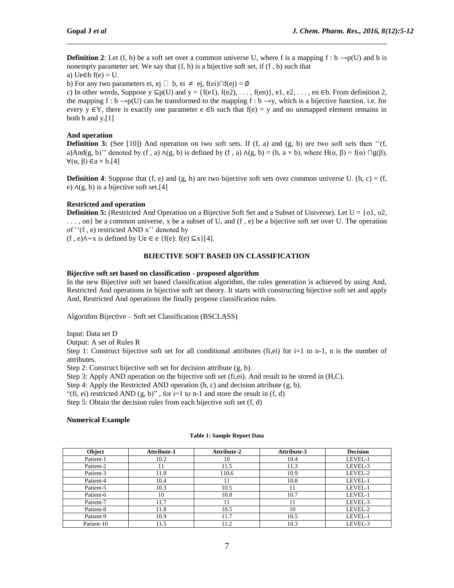**Definition 2**: Let (f, b) be a soft set over a common universe U, where f is a mapping  $f : b \rightarrow p(U)$  and b is nonempty parameter set. We say that  $(f, b)$  is a bijective soft set, if  $(f, b)$  such that a) Ue∈b  $f(e) = U$ .

\_\_\_\_\_\_\_\_\_\_\_\_\_\_\_\_\_\_\_\_\_\_\_\_\_\_\_\_\_\_\_\_\_\_\_\_\_\_\_\_\_\_\_\_\_\_\_\_\_\_\_\_\_\_\_\_\_\_\_\_\_\_\_\_\_\_\_\_\_\_\_\_

b) For any two parameters ei, ej  $\Box$  b, ei  $\neq$  ej, f(ei)∩f(ej) = Ø

c) In other words, Suppose  $y \subseteq p(U)$  and  $y = \{f(e1), f(e2), \ldots, f(en)\}\)$ , e1, e2, ..., en  $\in \mathbb{b}$ . From definition 2, the mapping f : b  $\rightarrow$ p(U) can be transformed to the mapping f : b  $\rightarrow$ y, which is a bijective function. i.e. for every y  $\in$ Y, there is exactly one parameter e  $\in$ b such that  $f(e) = v$  and no unmapped element remains in both b and y.[1]

## **And operation**

**Definition 3:** (See [10]) And operation on two soft sets. If  $(f, a)$  and  $(g, b)$  are two soft sets then " $(f, a)$ " a)And(g, b)'' denoted by (f, a)  $\Lambda$ (g, b) is defined by (f, a)  $\Lambda$ (g, b) = (h, a × b), where H( $\alpha$ ,  $\beta$ ) = f( $\alpha$ )  $\cap$  g( $\beta$ ),  $∀(α, β) ∈ a × b.[4]$ 

**Definition 4**: Suppose that  $(f, e)$  and  $(g, b)$  are two bijective soft sets over common universe U.  $(h, c) = (f, d)$ e) ∧(g, b) is a bijective soft set.[4]

## **Restricted and operation**

**Definition 5:** (Restricted And Operation on a Bijective Soft Set and a Subset of Universe). Let  $U = \{o1, o2,$ . . . , on} be a common universe, x be a subset of U, and (f , e) be a bijective soft set over U. The operation of ''(f , e) restricted AND x'' denoted by

(f, e) $\land \sim x$  is defined by Ue ∈ e {f(e): f(e) ⊆x}[4].

### **BIJECTIVE SOFT BASED ON CLASSIFICATION**

## **Bijective soft set based on classification - proposed algorithm**

In the new Bijective soft set based classification algorithm, the rules generation is achieved by using And, Restricted And operations in bijective soft set theory. It starts with constructing bijective soft set and apply And, Restricted And operations the finally propose classification rules.

Algorithm Bijective – Soft set Classification (BSCLASS)

Input: Data set D

Output: A set of Rules R

Step 1: Construct bijective soft set for all conditional attributes (fi,ei) for  $i=1$  to n-1, n is the number of attributes.

Step 2: Construct bijective soft set for decision attribute (g, b).

Step 3: Apply AND operation on the bijective soft set (fi,ei). And result to be stored in (H,C).

Step 4: Apply the Restricted AND operation (h, c) and decision attribute (g, b).

"(fi, ei) restricted AND  $(g, b)$ ", for i=1 to n-1 and store the result in  $(f, d)$ 

Step 5: Obtain the decision rules from each bijective soft set  $(f, d)$ 

#### **Numerical Example**

#### **Table 1: Sample Report Data**

| Object     | <b>Attribute-1</b> | <b>Attribute-2</b> | <b>Attribute-3</b> | <b>Decision</b> |
|------------|--------------------|--------------------|--------------------|-----------------|
| Patient-1  | 10.2               | 10                 | 10.4               | LEVEL-1         |
| Patient-2  | 11                 | 11.5               | 11.3               | LEVEL-3         |
| Patient-3  | 11.8               | 110.6              | 10.9               | LEVEL-2         |
| Patient-4  | 10.4               |                    | 10.8               | LEVEL-1         |
| Patient-5  | 10.3               | 10.5               | ، 1                | LEVEL-1         |
| Patient-6  | 10                 | 10.8               | 10.7               | LEVEL-1         |
| Patient-7  | 11.7               | 11                 | 11                 | LEVEL-3         |
| Patient-8  | 11.8               | 10.5               | 10                 | LEVEL-2         |
| Patient-9  | 10.9               | 11.7               | 10.5               | LEVEL-1         |
| Patient-10 | 11.5               | 11.2               | 10.3               | LEVEL-3         |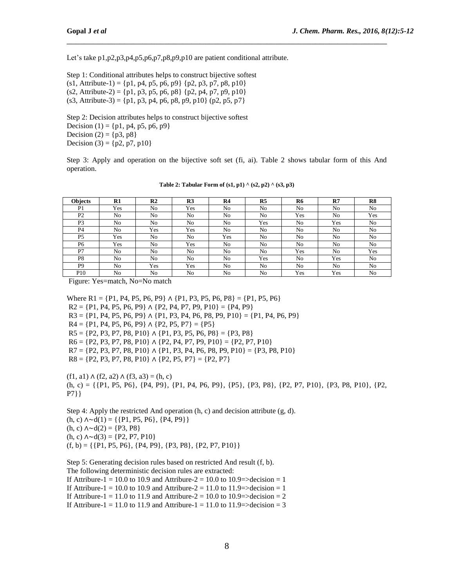Let's take p1,p2,p3,p4,p5,p6,p7,p8,p9,p10 are patient conditional attribute.

Step 1: Conditional attributes helps to construct bijective softest  $(s1,$  Attribute-1) = {p1, p4, p5, p6, p9} {p2, p3, p7, p8, p10}  $(s2, \text{Attribute-2}) = \{p1, p3, p5, p6, p8\}$  {p2, p4, p7, p9, p10}  $(s3,$  Attribute-3) = {p1, p3, p4, p6, p8, p9, p10} (p2, p5, p7}

Step 2: Decision attributes helps to construct bijective softest Decision (1) = { $p1, p4, p5, p6, p9$ } Decision (2) = { $p3, p8$ } Decision (3) = { $p2$ ,  $p7$ ,  $p10$ }

Step 3: Apply and operation on the bijective soft set (fi, ai). Table 2 shows tabular form of this And operation.

\_\_\_\_\_\_\_\_\_\_\_\_\_\_\_\_\_\_\_\_\_\_\_\_\_\_\_\_\_\_\_\_\_\_\_\_\_\_\_\_\_\_\_\_\_\_\_\_\_\_\_\_\_\_\_\_\_\_\_\_\_\_\_\_\_\_\_\_\_\_\_\_

| <b>Objects</b>  | R1             | R <sub>2</sub> | R <sub>3</sub> | R <sub>4</sub> | R <sub>5</sub> | R <sub>6</sub> | R7             | R8  |
|-----------------|----------------|----------------|----------------|----------------|----------------|----------------|----------------|-----|
| P1              | Yes            | No             | Yes            | No             | No             | No             | N <sub>o</sub> | No  |
| P <sub>2</sub>  | N <sub>o</sub> | No             | No             | No             | No             | Yes            | No             | Yes |
| P <sub>3</sub>  | No             | No             | No             | No             | Yes            | No             | Yes            | No  |
| P <sub>4</sub>  | N <sub>o</sub> | Yes            | Yes            | No             | No             | No             | No             | No  |
| P <sub>5</sub>  | Yes            | No             | No             | Yes            | No             | No             | N <sub>o</sub> | No  |
| P <sub>6</sub>  | Yes            | No             | Yes            | No             | No             | No             | N <sub>o</sub> | No  |
| P7              | N <sub>o</sub> | No             | No             | No             | No             | Yes            | N <sub>o</sub> | Yes |
| P8              | N <sub>o</sub> | No             | No             | No             | Yes            | No             | Yes            | No  |
| P <sub>9</sub>  | N <sub>o</sub> | Yes            | Yes            | No             | N <sub>0</sub> | N <sub>o</sub> | No             | No  |
| P <sub>10</sub> | No             | No             | No             | No             | No             | Yes            | Yes            | No  |

**Table 2: Tabular Form of (s1, p1) ^ (s2, p2) ^ (s3, p3)**

Figure: Yes=match, No=No match

Where R1 = {P1, P4, P5, P6, P9}  $\land$  {P1, P3, P5, P6, P8} = {P1, P5, P6}  $R2 = \{P1, P4, P5, P6, P9\} \wedge \{P2, P4, P7, P9, P10\} = \{P4, P9\}$  $R3 = \{P1, P4, P5, P6, P9\} \wedge \{P1, P3, P4, P6, P8, P9, P10\} = \{P1, P4, P6, P9\}$  $R4 = \{P1, P4, P5, P6, P9\} \wedge \{P2, P5, P7\} = \{P5\}$  $R5 = \{P2, P3, P7, P8, P10\} \wedge \{P1, P3, P5, P6, P8\} = \{P3, P8\}$  $R6 = \{P2, P3, P7, P8, P10\} \wedge \{P2, P4, P7, P9, P10\} = \{P2, P7, P10\}$  $R7 = \{P2, P3, P7, P8, P10\} \wedge \{P1, P3, P4, P6, P8, P9, P10\} = \{P3, P8, P10\}$  $R8 = \{P2, P3, P7, P8, P10\} \wedge \{P2, P5, P7\} = \{P2, P7\}$ 

 $(f1, a1) ∧ (f2, a2) ∧ (f3, a3) = (h, c)$ (h, c) = {{P1, P5, P6}, {P4, P9}, {P1, P4, P6, P9}, {P5}, {P3, P8}, {P2, P7, P10}, {P3, P8, P10}, {P2, P7}}

Step 4: Apply the restricted And operation (h, c) and decision attribute (g, d).  $(h, c)$  ∧∼d $(1) = \{\{P1, P5, P6\}, \{P4, P9\}\}\$  $(h, c)$  ∧∼d $(2) = \{P3, P8\}$  $(h, c)$  ∧∼d $(3) = \{P2, P7, P10\}$  $(f, b) = \{ \{P1, P5, P6\}, \{P4, P9\}, \{P3, P8\}, \{P2, P7, P10\} \}$ 

Step 5: Generating decision rules based on restricted And result (f, b). The following deterministic decision rules are extracted: If Attribure-1 = 10.0 to 10.9 and Attribure-2 = 10.0 to 10.9= $>$ decision = 1 If Attribure-1 = 10.0 to 10.9 and Attribure-2 = 11.0 to 11.9=>decision = 1 If Attribure-1 = 11.0 to 11.9 and Attribure-2 = 10.0 to 10.9= $>$ decision = 2

If Attribure-1 = 11.0 to 11.9 and Attribure-1 = 11.0 to 11.9= $>$ decision = 3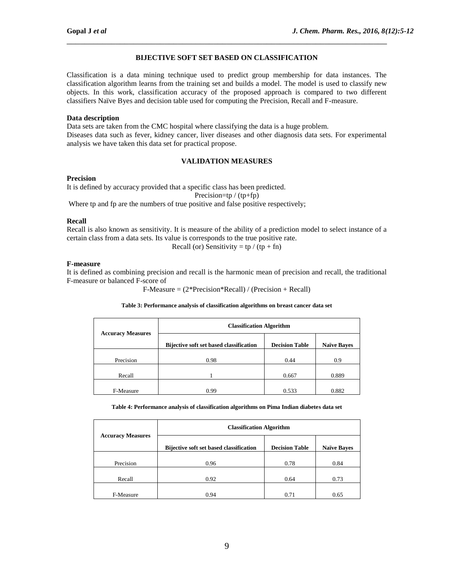# **BIJECTIVE SOFT SET BASED ON CLASSIFICATION**

\_\_\_\_\_\_\_\_\_\_\_\_\_\_\_\_\_\_\_\_\_\_\_\_\_\_\_\_\_\_\_\_\_\_\_\_\_\_\_\_\_\_\_\_\_\_\_\_\_\_\_\_\_\_\_\_\_\_\_\_\_\_\_\_\_\_\_\_\_\_\_\_

Classification is a data mining technique used to predict group membership for data instances. The classification algorithm learns from the training set and builds a model. The model is used to classify new objects. In this work, classification accuracy of the proposed approach is compared to two different classifiers Naïve Byes and decision table used for computing the Precision, Recall and F-measure.

## **Data description**

Data sets are taken from the CMC hospital where classifying the data is a huge problem. Diseases data such as fever, kidney cancer, liver diseases and other diagnosis data sets. For experimental analysis we have taken this data set for practical propose.

# **VALIDATION MEASURES**

## **Precision**

It is defined by accuracy provided that a specific class has been predicted. Precision=tp / (tp+fp)

Where tp and fp are the numbers of true positive and false positive respectively;

## **Recall**

Recall is also known as sensitivity. It is measure of the ability of a prediction model to select instance of a certain class from a data sets. Its value is corresponds to the true positive rate.

Recall (or) Sensitivity = tp / (tp + fn)

## **F-measure**

It is defined as combining precision and recall is the harmonic mean of precision and recall, the traditional F-measure or balanced F-score of

F-Measure = (2\*Precision\*Recall) / (Precision + Recall)

## **Table 3: Performance analysis of classification algorithms on breast cancer data set**

|                          | <b>Classification Algorithm</b>                |                       |                    |  |  |  |
|--------------------------|------------------------------------------------|-----------------------|--------------------|--|--|--|
| <b>Accuracy Measures</b> | <b>Bijective soft set based classification</b> | <b>Decision Table</b> | <b>Naïve Bayes</b> |  |  |  |
| Precision                | 0.98                                           | 0.44                  | 0.9                |  |  |  |
| Recall                   |                                                | 0.667                 | 0.889              |  |  |  |
| F-Measure                | 0.99                                           | 0.533                 | 0.882              |  |  |  |

**Table 4: Performance analysis of classification algorithms on Pima Indian diabetes data set**

|                          | <b>Classification Algorithm</b>                |                       |                    |  |  |  |
|--------------------------|------------------------------------------------|-----------------------|--------------------|--|--|--|
| <b>Accuracy Measures</b> | <b>Bijective soft set based classification</b> | <b>Decision Table</b> | <b>Naïve Bayes</b> |  |  |  |
| Precision                | 0.96                                           | 0.78                  | 0.84               |  |  |  |
| Recall                   | 0.92                                           | 0.64                  | 0.73               |  |  |  |
| F-Measure                | 0.94                                           | 0.71                  | 0.65               |  |  |  |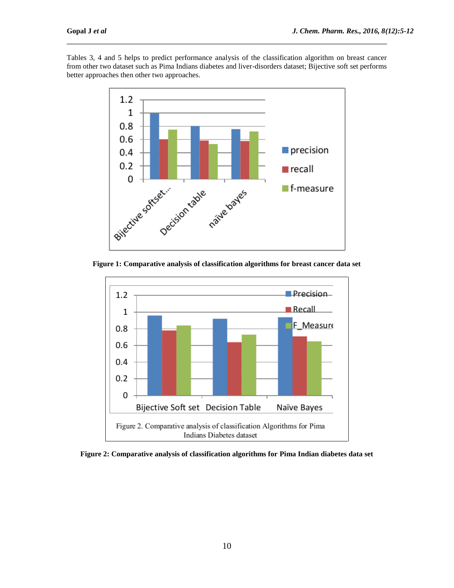Tables 3, 4 and 5 helps to predict performance analysis of the classification algorithm on breast cancer from other two dataset such as Pima Indians diabetes and liver-disorders dataset; Bijective soft set performs better approaches then other two approaches.

\_\_\_\_\_\_\_\_\_\_\_\_\_\_\_\_\_\_\_\_\_\_\_\_\_\_\_\_\_\_\_\_\_\_\_\_\_\_\_\_\_\_\_\_\_\_\_\_\_\_\_\_\_\_\_\_\_\_\_\_\_\_\_\_\_\_\_\_\_\_\_\_



**Figure 1: Comparative analysis of classification algorithms for breast cancer data set**



**Figure 2: Comparative analysis of classification algorithms for Pima Indian diabetes data set**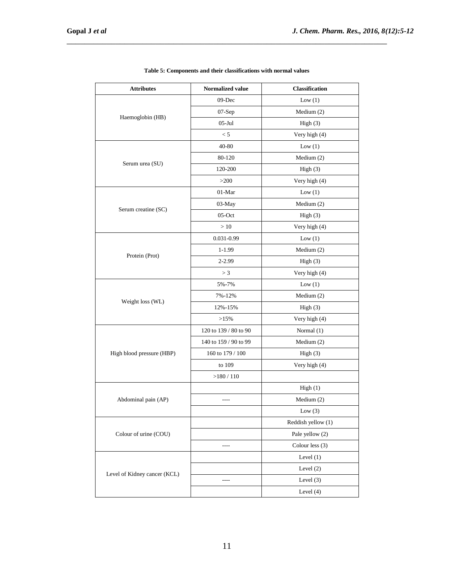| <b>Attributes</b>            | Normalized value      | <b>Classification</b> |
|------------------------------|-----------------------|-----------------------|
|                              | $09$ -Dec             | Low(1)                |
|                              | $07-Sep$              | Medium $(2)$          |
| Haemoglobin (HB)             | $05$ -Jul             | High(3)               |
|                              | < 5                   | Very high (4)         |
|                              | 40-80                 | Low(1)                |
|                              | 80-120                | Medium $(2)$          |
| Serum urea (SU)              | 120-200               | High(3)               |
|                              | >200                  | Very high (4)         |
|                              | 01-Mar                | Low(1)                |
|                              | 03-May                | Medium (2)            |
| Serum creatine (SC)          | 05-Oct                | High(3)               |
|                              | >10                   | Very high (4)         |
|                              | 0.031-0.99            | Low(1)                |
|                              | 1-1.99                | Medium (2)            |
| Protein (Prot)               | 2-2.99                | High(3)               |
|                              | > 3                   | Very high (4)         |
|                              | 5%-7%                 | Low(1)                |
|                              | 7%-12%                | Medium $(2)$          |
| Weight loss (WL)             | 12%-15%               | High(3)               |
|                              | >15%                  | Very high (4)         |
|                              | 120 to 139 / 80 to 90 | Normal (1)            |
|                              | 140 to 159 / 90 to 99 | Medium (2)            |
| High blood pressure (HBP)    | 160 to 179 / 100      | High(3)               |
|                              | to 109                | Very high (4)         |
|                              | >180/110              |                       |
|                              |                       | High(1)               |
| Abdominal pain (AP)          | ----                  | Medium (2)            |
|                              |                       | Low $(3)$             |
|                              |                       | Reddish yellow (1)    |
| Colour of urine (COU)        |                       | Pale yellow (2)       |
|                              | ----                  | Colour less (3)       |
|                              |                       | Level $(1)$           |
|                              |                       | Level $(2)$           |
| Level of Kidney cancer (KCL) | ----                  | Level $(3)$           |
|                              |                       | Level (4)             |

**Table 5: Components and their classifications with normal values** 

\_\_\_\_\_\_\_\_\_\_\_\_\_\_\_\_\_\_\_\_\_\_\_\_\_\_\_\_\_\_\_\_\_\_\_\_\_\_\_\_\_\_\_\_\_\_\_\_\_\_\_\_\_\_\_\_\_\_\_\_\_\_\_\_\_\_\_\_\_\_\_\_